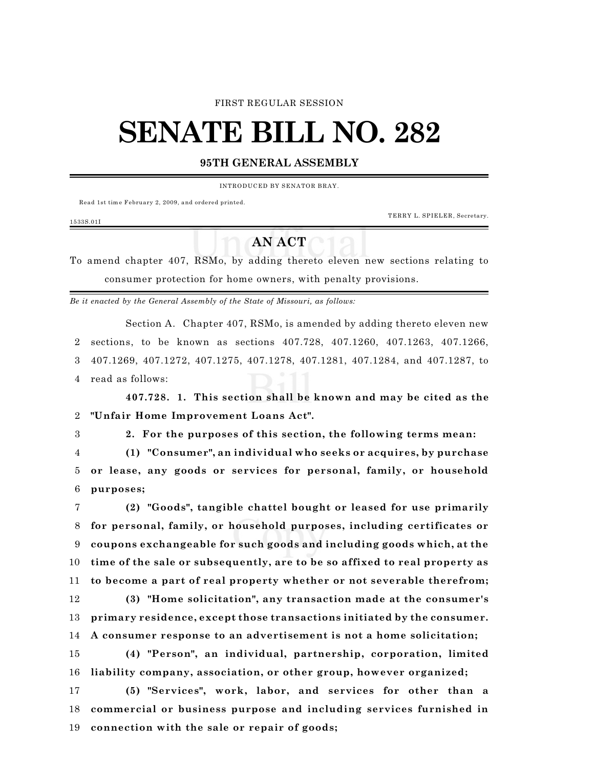#### FIRST REGULAR SESSION

# **SENATE BILL NO. 282**

### **95TH GENERAL ASSEMBLY**

INTRODUCED BY SENATOR BRAY.

Read 1st time February 2, 2009, and ordered printed.

TERRY L. SPIELER, Secretary.

## 1533S.01I

## **AN ACT**

To amend chapter 407, RSMo, by adding thereto eleven new sections relating to consumer protection for home owners, with penalty provisions.

*Be it enacted by the General Assembly of the State of Missouri, as follows:*

Section A. Chapter 407, RSMo, is amended by adding thereto eleven new sections, to be known as sections 407.728, 407.1260, 407.1263, 407.1266, 407.1269, 407.1272, 407.1275, 407.1278, 407.1281, 407.1284, and 407.1287, to read as follows:

**407.728. 1. This section shall be known and may be cited as the "Unfair Home Improvement Loans Act".**

**2. For the purposes of this section, the following terms mean:**

 **(1) "Consumer", an individual who seeks or acquires, by purchase or lease, any goods or services for personal, family, or household purposes;**

 **(2) "Goods", tangible chattel bought or leased for use primarily for personal, family, or household purposes, including certificates or coupons exchangeable for such goods and including goods which, at the time of the sale or subsequently, are to be so affixed to real property as to become a part of real property whether or not severable therefrom;**

 **(3) "Home solicitation", any transaction made at the consumer's primary residence, except those transactions initiated by the consumer. A consumer response to an advertisement is not a home solicitation;**

 **(4) "Person", an individual, partnership, corporation, limited liability company, association, or other group, however organized;**

 **(5) "Services", work, labor, and services for other than a commercial or business purpose and including services furnished in connection with the sale or repair of goods;**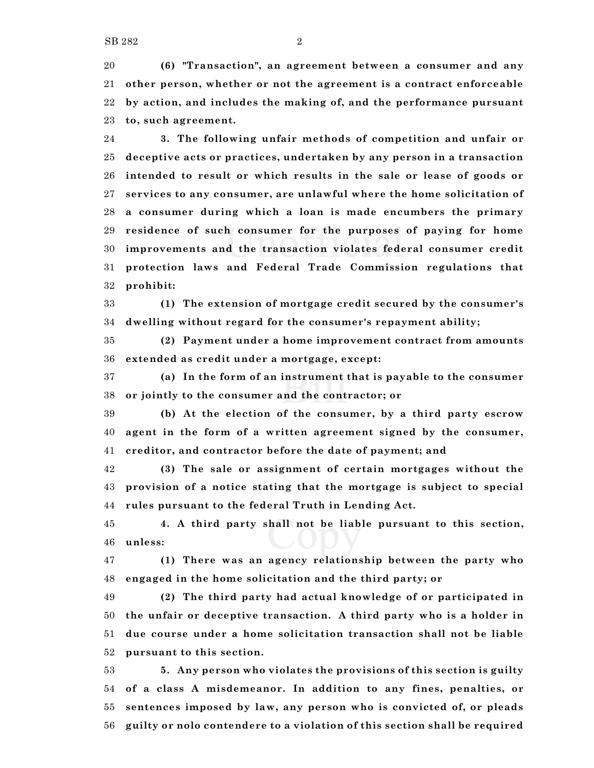**(6) "Transaction", an agreement between a consumer and any other person, whether or not the agreement is a contract enforceable by action, and includes the making of, and the performance pursuant to, such agreement.**

 **3. The following unfair methods of competition and unfair or deceptive acts or practices, undertaken by any person in a transaction intended to result or which results in the sale or lease of goods or services to any consumer, are unlawful where the home solicitation of a consumer during which a loan is made encumbers the primary residence of such consumer for the purposes of paying for home improvements and the transaction violates federal consumer credit protection laws and Federal Trade Commission regulations that prohibit:**

 **(1) The extension of mortgage credit secured by the consumer's dwelling without regard for the consumer's repayment ability;**

 **(2) Payment under a home improvement contract from amounts extended as credit under a mortgage, except:**

 **(a) In the form of an instrument that is payable to the consumer or jointly to the consumer and the contractor; or**

 **(b) At the election of the consumer, by a third party escrow agent in the form of a written agreement signed by the consumer, creditor, and contractor before the date of payment; and**

 **(3) The sale or assignment of certain mortgages without the provision of a notice stating that the mortgage is subject to special rules pursuant to the federal Truth in Lending Act.**

 **4. A third party shall not be liable pursuant to this section, unless:**

 **(1) There was an agency relationship between the party who engaged in the home solicitation and the third party; or**

 **(2) The third party had actual knowledge of or participated in the unfair or deceptive transaction. A third party who is a holder in due course under a home solicitation transaction shall not be liable pursuant to this section.**

 **5. Any person who violates the provisions of this section is guilty of a class A misdemeanor. In addition to any fines, penalties, or sentences imposed by law, any person who is convicted of, or pleads guilty or nolo contendere to a violation of this section shall be required**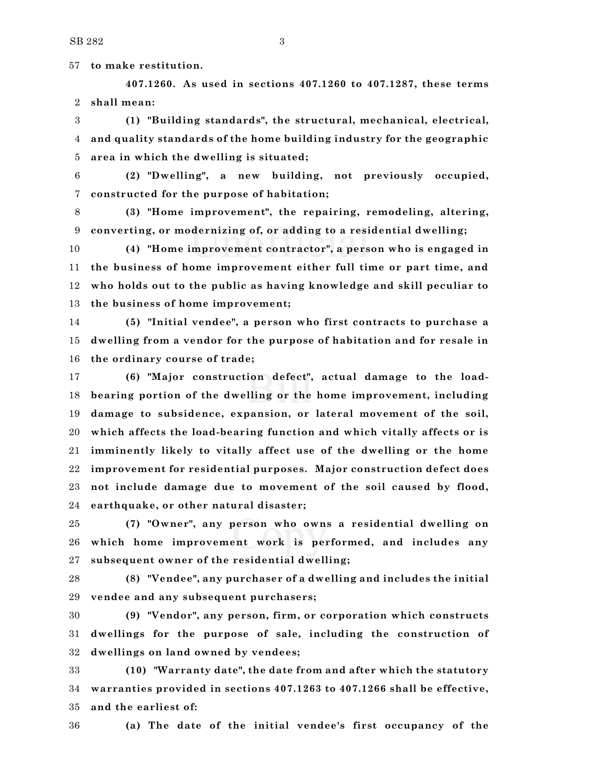**to make restitution.**

**407.1260. As used in sections 407.1260 to 407.1287, these terms shall mean:**

 **(1) "Building standards", the structural, mechanical, electrical, and quality standards of the home building industry for the geographic area in which the dwelling is situated;**

 **(2) "Dwelling", a new building, not previously occupied, constructed for the purpose of habitation;**

 **(3) "Home improvement", the repairing, remodeling, altering, converting, or modernizing of, or adding to a residential dwelling;**

 **(4) "Home improvement contractor", a person who is engaged in the business of home improvement either full time or part time, and who holds out to the public as having knowledge and skill peculiar to the business of home improvement;**

 **(5) "Initial vendee", a person who first contracts to purchase a dwelling from a vendor for the purpose of habitation and for resale in the ordinary course of trade;**

 **(6) "Major construction defect", actual damage to the load- bearing portion of the dwelling or the home improvement, including damage to subsidence, expansion, or lateral movement of the soil, which affects the load-bearing function and which vitally affects or is imminently likely to vitally affect use of the dwelling or the home improvement for residential purposes. Major construction defect does not include damage due to movement of the soil caused by flood, earthquake, or other natural disaster;**

 **(7) "Owner", any person who owns a residential dwelling on which home improvement work is performed, and includes any subsequent owner of the residential dwelling;**

 **(8) "Vendee", any purchaser of a dwelling and includes the initial vendee and any subsequent purchasers;**

 **(9) "Vendor", any person, firm, or corporation which constructs dwellings for the purpose of sale, including the construction of dwellings on land owned by vendees;**

 **(10) "Warranty date", the date from and after which the statutory warranties provided in sections 407.1263 to 407.1266 shall be effective, and the earliest of:**

**(a) The date of the initial vendee's first occupancy of the**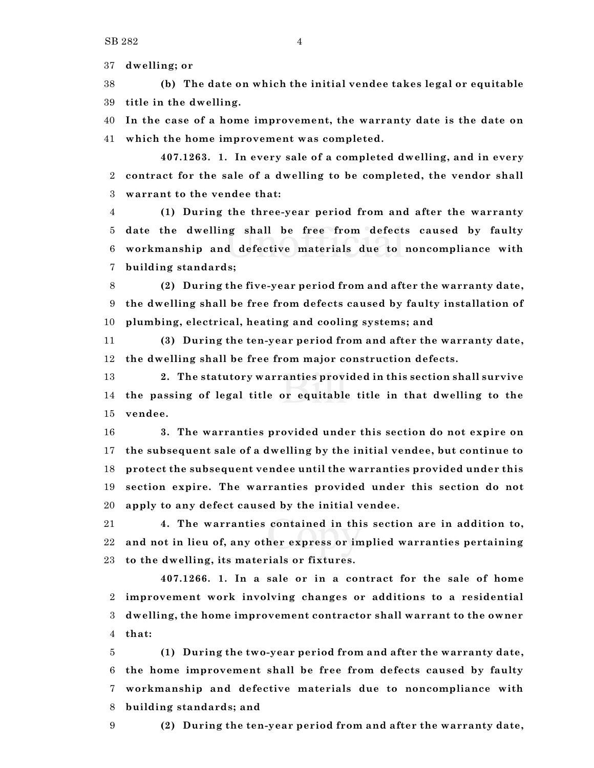**dwelling; or**

 **(b) The date on which the initial vendee takes legal or equitable title in the dwelling.**

 **In the case of a home improvement, the warranty date is the date on which the home improvement was completed.**

**407.1263. 1. In every sale of a completed dwelling, and in every contract for the sale of a dwelling to be completed, the vendor shall warrant to the vendee that:**

 **(1) During the three-year period from and after the warranty date the dwelling shall be free from defects caused by faulty workmanship and defective materials due to noncompliance with building standards;**

 **(2) During the five-year period from and after the warranty date, the dwelling shall be free from defects caused by faulty installation of plumbing, electrical, heating and cooling systems; and**

 **(3) During the ten-year period from and after the warranty date, the dwelling shall be free from major construction defects.**

 **2. The statutory warranties provided in this section shall survive the passing of legal title or equitable title in that dwelling to the vendee.**

 **3. The warranties provided under this section do not expire on the subsequent sale of a dwelling by the initial vendee, but continue to protect the subsequent vendee until the warranties provided under this section expire. The warranties provided under this section do not apply to any defect caused by the initial vendee.**

 **4. The warranties contained in this section are in addition to, and not in lieu of, any other express or implied warranties pertaining to the dwelling, its materials or fixtures.**

**407.1266. 1. In a sale or in a contract for the sale of home improvement work involving changes or additions to a residential dwelling, the home improvement contractor shall warrant to the owner that:**

 **(1) During the two-year period from and after the warranty date, the home improvement shall be free from defects caused by faulty workmanship and defective materials due to noncompliance with building standards; and**

**(2) During the ten-year period from and after the warranty date,**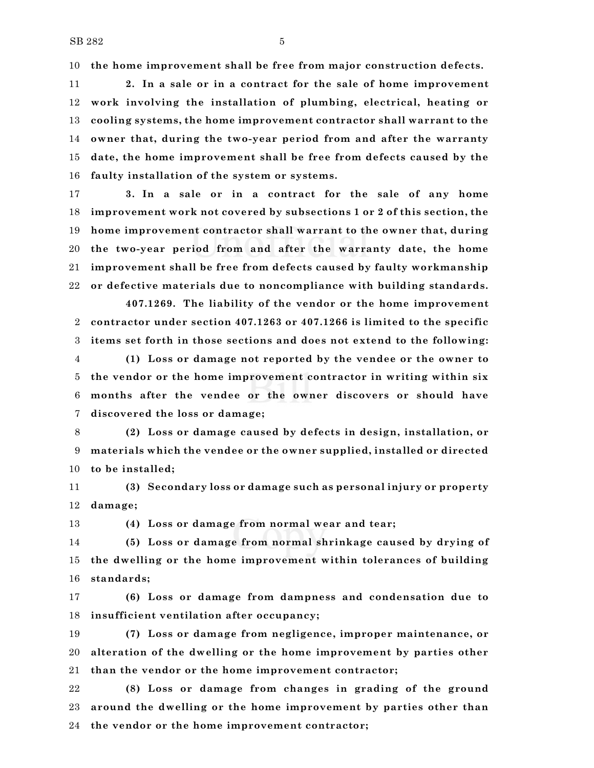**the home improvement shall be free from major construction defects.**

 **2. In a sale or in a contract for the sale of home improvement work involving the installation of plumbing, electrical, heating or cooling systems, the home improvement contractor shall warrant to the owner that, during the two-year period from and after the warranty date, the home improvement shall be free from defects caused by the faulty installation of the system or systems.**

 **3. In a sale or in a contract for the sale of any home improvement work not covered by subsections 1 or 2 of this section, the home improvement contractor shall warrant to the owner that, during the two-year period from and after the warranty date, the home improvement shall be free from defects caused by faulty workmanship or defective materials due to noncompliance with building standards.**

**407.1269. The liability of the vendor or the home improvement contractor under section 407.1263 or 407.1266 is limited to the specific items set forth in those sections and does not extend to the following:**

 **(1) Loss or damage not reported by the vendee or the owner to the vendor or the home improvement contractor in writing within six months after the vendee or the owner discovers or should have discovered the loss or damage;**

 **(2) Loss or damage caused by defects in design, installation, or materials which the vendee or the owner supplied, installed or directed to be installed;**

 **(3) Secondary loss or damage such as personal injury or property damage;**

**(4) Loss or damage from normal wear and tear;**

**(5) Loss or damage from normal shrinkage caused by drying of**

 **the dwelling or the home improvement within tolerances of building standards;**

 **(6) Loss or damage from dampness and condensation due to insufficient ventilation after occupancy;**

 **(7) Loss or damage from negligence, improper maintenance, or alteration of the dwelling or the home improvement by parties other than the vendor or the home improvement contractor;**

 **(8) Loss or damage from changes in grading of the ground around the dwelling or the home improvement by parties other than the vendor or the home improvement contractor;**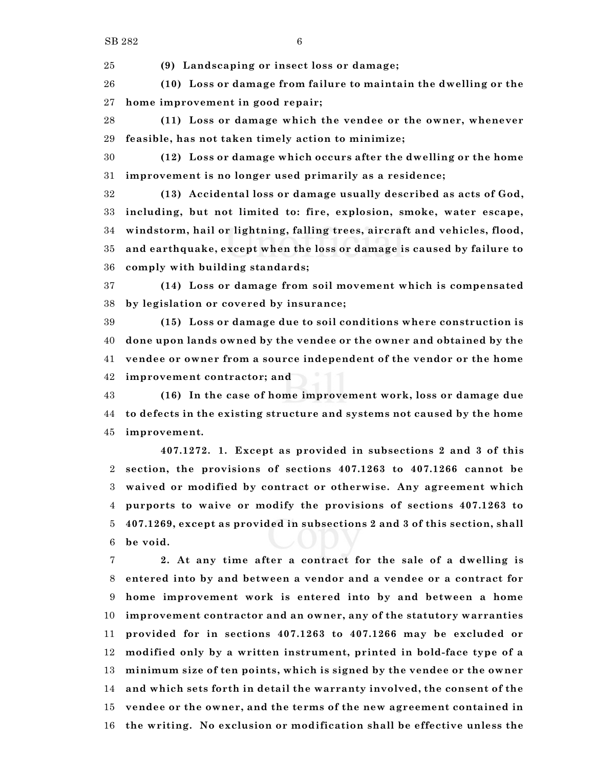**(9) Landscaping or insect loss or damage;**

 **(10) Loss or damage from failure to maintain the dwelling or the home improvement in good repair;**

 **(11) Loss or damage which the vendee or the owner, whenever feasible, has not taken timely action to minimize;**

 **(12) Loss or damage which occurs after the dwelling or the home improvement is no longer used primarily as a residence;**

 **(13) Accidental loss or damage usually described as acts of God, including, but not limited to: fire, explosion, smoke, water escape, windstorm, hail or lightning, falling trees, aircraft and vehicles, flood, and earthquake, except when the loss or damage is caused by failure to comply with building standards;**

 **(14) Loss or damage from soil movement which is compensated by legislation or covered by insurance;**

 **(15) Loss or damage due to soil conditions where construction is done upon lands owned by the vendee or the owner and obtained by the vendee or owner from a source independent of the vendor or the home improvement contractor; and**

 **(16) In the case of home improvement work, loss or damage due to defects in the existing structure and systems not caused by the home improvement.**

**407.1272. 1. Except as provided in subsections 2 and 3 of this section, the provisions of sections 407.1263 to 407.1266 cannot be waived or modified by contract or otherwise. Any agreement which purports to waive or modify the provisions of sections 407.1263 to 407.1269, except as provided in subsections 2 and 3 of this section, shall be void.**

 **2. At any time after a contract for the sale of a dwelling is entered into by and between a vendor and a vendee or a contract for home improvement work is entered into by and between a home improvement contractor and an owner, any of the statutory warranties provided for in sections 407.1263 to 407.1266 may be excluded or modified only by a written instrument, printed in bold-face type of a minimum size of ten points, which is signed by the vendee or the owner and which sets forth in detail the warranty involved, the consent of the vendee or the owner, and the terms of the new agreement contained in the writing. No exclusion or modification shall be effective unless the**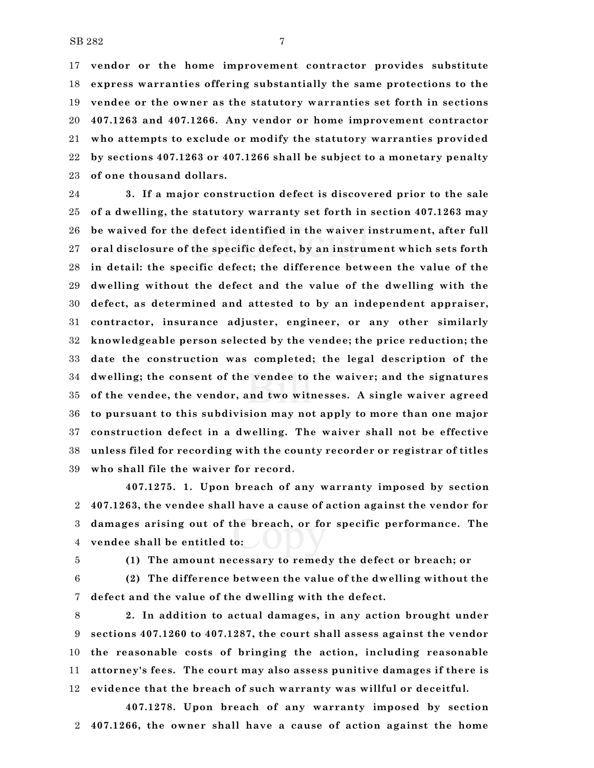**vendor or the home improvement contractor provides substitute express warranties offering substantially the same protections to the vendee or the owner as the statutory warranties set forth in sections 407.1263 and 407.1266. Any vendor or home improvement contractor who attempts to exclude or modify the statutory warranties provided by sections 407.1263 or 407.1266 shall be subject to a monetary penalty of one thousand dollars.**

 **3. If a major construction defect is discovered prior to the sale of a dwelling, the statutory warranty set forth in section 407.1263 may be waived for the defect identified in the waiver instrument, after full oral disclosure of the specific defect, by an instrument which sets forth in detail: the specific defect; the difference between the value of the dwelling without the defect and the value of the dwelling with the defect, as determined and attested to by an independent appraiser, contractor, insurance adjuster, engineer, or any other similarly knowledgeable person selected by the vendee; the price reduction; the date the construction was completed; the legal description of the dwelling; the consent of the vendee to the waiver; and the signatures of the vendee, the vendor, and two witnesses. A single waiver agreed to pursuant to this subdivision may not apply to more than one major construction defect in a dwelling. The waiver shall not be effective unless filed for recording with the county recorder or registrar of titles who shall file the waiver for record.**

**407.1275. 1. Upon breach of any warranty imposed by section 407.1263, the vendee shall have a cause of action against the vendor for damages arising out of the breach, or for specific performance. The vendee shall be entitled to:**

**(1) The amount necessary to remedy the defect or breach; or**

 **(2) The difference between the value of the dwelling without the defect and the value of the dwelling with the defect.**

 **2. In addition to actual damages, in any action brought under sections 407.1260 to 407.1287, the court shall assess against the vendor the reasonable costs of bringing the action, including reasonable attorney's fees. The court may also assess punitive damages if there is evidence that the breach of such warranty was willful or deceitful.**

**407.1278. Upon breach of any warranty imposed by section 407.1266, the owner shall have a cause of action against the home**